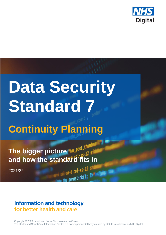

# **Data Security Standard 7**

## **Continuity Planning**

The bigger picture **Nas Post** th **and how the standard fits in**

2021/22

## **Information and technology** for better health and care

Copyright © 2020 Health and Social Care Information Centre. The Health and Social Care Information Centre is a non-departmental body created by statute, also known as NHS Digital.

 $-6$  col-xs-12 s

 $permaink()$ ;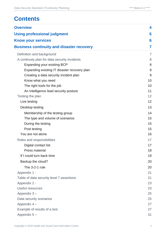## **Contents**

| <b>Overview</b>                                                              | 4              |
|------------------------------------------------------------------------------|----------------|
| <b>Using professional judgment</b>                                           | 5              |
| <b>Know your services</b>                                                    | 6              |
| <b>Business continuity and disaster recovery</b>                             | 7              |
|                                                                              | $\overline{7}$ |
| Definition and background                                                    | 8              |
| A continuity plan for data security incidents<br>Expanding your existing BCP | 8              |
| Expanding existing IT disaster recovery plan                                 | $9\,$          |
| Creating a data security incident plan                                       | 9              |
| Know what you need                                                           | 10             |
| The right tools for the job                                                  | 10             |
| An Intelligence lead security posture                                        | 11             |
| Testing the plan                                                             | 12             |
| Live testing                                                                 | 12             |
| Desktop testing                                                              | 13             |
| Membership of the testing group                                              | 14             |
| The type and volume of scenarios                                             | 15             |
| During the testing                                                           | 15             |
| Post testing                                                                 | 15             |
| You are not alone                                                            | 16             |
| Roles and responsibilities                                                   | 17             |
| Digital contact list                                                         | 17             |
| Press material                                                               | 18             |
| If I could turn back time                                                    | 19             |
| Backup the cloud?                                                            | 20             |
| The 3-2-1 rule                                                               | 20             |
| Appendix 1 -                                                                 | 21             |
| Table of data security level 7 assertions                                    | 21             |
| Appendix 2 -                                                                 | 23             |
| Useful resources                                                             | 23             |
| Appendix 3-                                                                  | 25             |
| Data security scenarios                                                      | 25             |
| Appendix 4 -                                                                 | 27             |
| Example of results of a test                                                 | 27             |
| Appendix 5-                                                                  | 31             |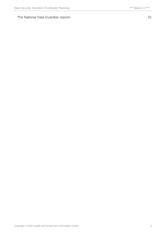#### [The National Data Guardian reports](#page-30-1) 31

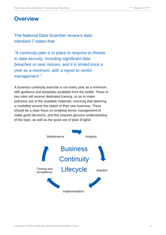## <span id="page-3-0"></span>**Overview**

The National Data Guardian review's data standard 7 states that:

*"A continuity plan is in place to respond to threats to data security, including significant data breaches or near misses, and it is tested once a year as a minimum, with a report to senior management."*

A business continuity exercise is run every year as a minimum, with guidance and templates available from the toolkit. Those in key roles will receive dedicated training, so as to make judicious use of the available materials, ensuring that planning is modelled around the needs of their own business. There should be a clear focus on enabling senior management to make good decisions, and this requires genuine understanding of the topic, as well as the good use of plain English.

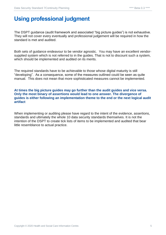## <span id="page-4-0"></span>**Using professional judgment**

The DSPT guidance (audit framework and associated "big picture guides") is not exhaustive. They will not cover every eventually and professional judgement will be required in how the standard is met and audited.

Both sets of guidance endeavour to be vendor agnostic. You may have an excellent vendorsupplied system which is not referred to in the guides. That is not to discount such a system, which should be implemented and audited on its merits.

The required standards have to be achievable to those whose digital maturity is still "developing". As a consequence, some of the measures outlined could be seen as quite manual. This does not mean that more sophisticated measures cannot be implemented.

#### **At times the big picture guides may go further than the audit guides and vice versa. Only the most binary of assertions would lead to one answer. The divergence of guides is either following an implementation theme to the end or the next logical audit artifact**

When implementing or auditing please have regard to the intent of the evidence, assertions, standards and ultimately the whole 10 data security standards themselves. It is not the intention of the DSPT to create tick lists of items to be implemented and audited that bear little resemblance to actual practice.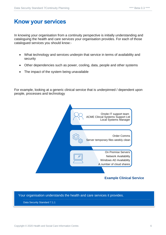## <span id="page-5-0"></span>**Know your services**

In knowing your organisation from a continuity perspective is initially understanding and cataloguing the health and care services your organisation provides. For each of those catalogued services you should know:-

- What technology and services underpin that service in terms of availability and security
- Other dependencies such as power, cooling, data, people and other systems
- The impact of the system being unavailable

For example, looking at a generic clinical service that is underpinned / dependent upon people, processes and technology



Your organisation understands the health and care services it provides.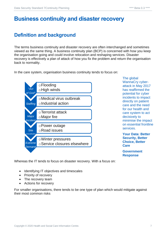## <span id="page-6-0"></span>**Business continuity and disaster recovery**

## <span id="page-6-1"></span>**Definition and background**

The terms business continuity and disaster recovery are often interchanged and sometimes viewed as the same thing. A business continuity plan (BCP) is concerned with how you keep the organisation going and could involve relocation and reshaping services. Disaster recovery is effectively a plan of attack of how you fix the problem and return the organisation back to normality.

In the care system, organisation business continuity tends to focus on:



The global WannaCry cyberattack in May 2017 has reaffirmed the potential for cyber incidents to impact directly on patient care and the need for our health and care system to act decisively to minimise the impact on essential frontline services.

**Your Data: Better Security, Better Choice, Better Care**

**Government Response**

Whereas the IT tends to focus on disaster recovery. With a focus on:

- Identifying IT objectives and timescales
- Priority of recovery
- The recovery team
- Actions for recovery

For smaller organisations, there tends to be one type of plan which would mitigate against their most common risks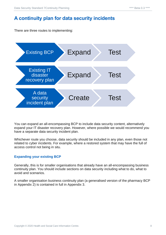## <span id="page-7-0"></span>**A continuity plan for data security incidents**

There are three routes to implementing:



You can expand an all-encompassing BCP to include data security content, alternatively expand your IT disaster recovery plan. However, where possible we would recommend you have a separate data security incident plan.

Whichever route you choose, data security should be included in any plan, even those not related to cyber incidents. For example, where a restored system that may have the full of access control not being in situ.

#### <span id="page-7-1"></span>**Expanding your existing BCP**

Generally, this is for smaller organisations that already have an all-encompassing business continuity plan. You should include sections on data security including what to do, what to avoid and scenarios.

A smaller organisation business continuity plan (a generalised version of the pharmacy BCP in Appendix 2) is contained in full in Appendix 3.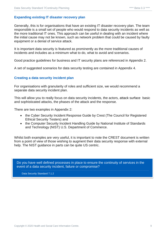#### <span id="page-8-0"></span>**Expanding existing IT disaster recovery plan**

Generally, this is for organisations that have an existing IT disaster recovery plan. The team responsible is a small set of people who would respond to data security incidents as well as the more traditional IT ones. This approach can be useful in dealing with an incident where the initial cause may not be known, such as network problem that could be caused by faulty equipment or a denial of service attack.

It is important data security is featured as prominently as the more traditional causes of incidents and includes as a minimum what to do, what to avoid and scenarios.

Good practice guidelines for business and IT security plans are referenced in Appendix 2.

A set of suggested scenarios for data security testing are contained in Appendix 4.

#### <span id="page-8-1"></span>**Creating a data security incident plan**

For organisations with granularity of roles and sufficient size, we would recommend a separate data security incident plan.

This will allow you to really focus on data security incidents, the actors, [attack surface](https://digital.nhs.uk/services/data-security-centre/cyber-security-glossary#a) basic and sophisticated attacks, the phases of the attack and the response.

There are two examples in Appendix 2:

- the Cyber Security Incident Response Guide by Crest (The Council for Registered Ethical Security Testers) and
- the Computer Security Incident Handling Guide by National Institute of Standards and Technology (NIST) U.S. Department of Commerce.

Whilst both examples are very useful, it is important to note the CREST document is written from a point of view of those wishing to augment their data security response with external help. The NIST quidance in parts can be quite US centric.

Do you have well defined processes in place to ensure the continuity of services in the event of a data security incident, failure or compromise?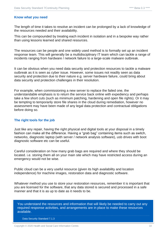#### <span id="page-9-0"></span>**Know what you need**

The length of time it takes to resolve an incident can be prolonged by a lack of knowledge of the resources needed and their availability.

This can be compounded by treating each incident in isolation and in a bespoke way rather than using lessons learned and shared resources.

The resources can be people and one widely used method is to formally set up an incident response team. This will generally be a multidisciplinary IT team which can tackle a range of incidents ranging from hardware / network failure to a large-scale malware outbreak.

It can be obvious when you need data security and protection resources to tackle a malware outbreak as it is seen as cyber issue. However, some issues not readily seen as data security and protection due to their nature e.g. server hardware failure, could bring about data security and protection challenges in their resolution.

For example, when commissioning a new server to replace the failed one, the understandable emphasis is to return the service back online with expediency and perhaps take a few short cuts (such as minimum patching, hardening and open file rights). Or it may be tempting to temporarily store file shares in the cloud during remediation, however no assessment may have been made of any legal data protection and contractual obligations before doing so.

#### <span id="page-9-1"></span>**The right tools for the job**

Just like any repair, having the right physical and digital tools at your disposal in a timely fashion can make all the difference. Having a "grab bag" containing items such as switch, networks, diagnostic laptop (with server / network analysis software), usb drives with boot diagnostic software etc can be useful.

Careful consideration on how many grab bags are required and where they should be located. i.e. storing them all on your main site which may have restricted access during an emergency would not be wise.

Public cloud can be a very useful resource (given its high availability and location independence) for machine images, restoration data and diagnostic software.

Whatever method you use to store your restoration resources, remember it is important that you are licensed for the software, that any data stored is secured and processed in a safe manner and that it is as up to date as it needs to be.

You understand the resources and information that will likely be needed to carry out any required response activities, and arrangements are in place to make these resources available.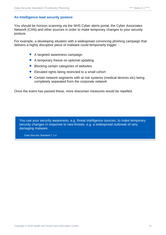#### <span id="page-10-0"></span>**An Intelligence lead security posture**

You should be horizon scanning via the NHS Cyber alerts portal, the Cyber Associates Network (CAN) and other sources in order to make temporary changes to your security posture.

For example, a developing situation with a widespread convincing phishing campaign that delivers a highly disruptive piece of malware could temporarily trigger: -

- A targeted awareness campaign
- A temporary freeze on optional updating
- Blocking certain categories of websites
- Elevated rights being restricted to a small cohort
- Certain network segments with at risk systems (medical devices etc) being completely separated from the corporate network

Once the event has passed these, more draconian measures would be repelled.

You use your security awareness, e.g. threat intelligence sources, to make temporary security changes in response to new threats, e.g. a widespread outbreak of very damaging malware.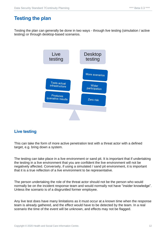## <span id="page-11-0"></span>**Testing the plan**

Testing the plan can generally be done in two ways - through live testing (simulation / active testing) or through desktop-based scenarios.



#### <span id="page-11-1"></span>**Live testing**

This can take the form of more active penetration test with a threat actor with a defined target, e.g. bring down a system.

The testing can take place in a live environment or sand pit. It is important that if undertaking the testing in a live environment that you are confident the live environment will not be negatively affected. Conversely, if using a simulated / sand pit environment, it is important that it is a true reflection of a live environment to be representative.

The person undertaking the role of the threat actor should not be the person who would normally be on the incident response team and would normally not have "insider knowledge". Unless the scenario is of a disgruntled former employee.

Any live test does have many limitations as it must occur at a known time when the response team is already gathered, and the effect would have to be detected by the team. In a real scenario the time of the event will be unknown, and effects may not be flagged.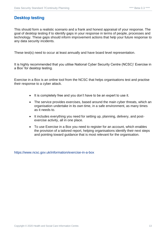#### <span id="page-12-0"></span>**Desktop testing**

This should form a realistic scenario and a frank and honest appraisal of your response. The goal of desktop testing if to identify gaps in your response in terms of people, processes and technology. These gaps should inform improvement actions that help your future response to any data security incidents.

These test(s) need to occur at least annually and have board level representation.

It is highly recommended that you utilise National Cyber Security Centre (NCSC)' Exercise in a Box' for desktop testing.

Exercise in a Box is an online tool from the NCSC that helps organisations test and practise their response to a cyber attack.

- It is completely free and you don't have to be an expert to use it.
- The service provides exercises, based around the main cyber threats, which an organisation undertake in its own time, in a safe environment, as many times as it needs to.
- It includes everything you need for setting up, planning, delivery, and postexercise activity, all in one place.
- To use Exercise in a Box you need to register for an account, which enables the provision of a tailored report, helping organisations identify their next steps and pointing toward guidance that is most relevant for the organisation.

<https://www.ncsc.gov.uk/information/exercise-in-a-box>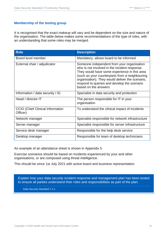#### <span id="page-13-0"></span>**Membership of the testing group**

It is recognised that the exact makeup will vary and be dependent on the size and nature of the organisation. The table below makes some recommendations of the type of roles, with an understanding that some roles may be merged.

| <b>Role</b>                                         | <b>Description</b>                                                                                                                                                                                                                                                                                                      |
|-----------------------------------------------------|-------------------------------------------------------------------------------------------------------------------------------------------------------------------------------------------------------------------------------------------------------------------------------------------------------------------------|
| Board level member                                  | Mandatory, allows board to be informed                                                                                                                                                                                                                                                                                  |
| External chair / adjudicator                        | Someone independent from your organisation<br>who is not involved in the incident response.<br>They would have some experience in this area<br>(such as your counterparts from a neighbouring<br>organisation). They would deliver the scenario,<br>respond to queries and develop the scenario<br>based on the answers |
| Information / data security / IG                    | Specialist in data security and protection                                                                                                                                                                                                                                                                              |
| Head / director IT                                  | The person responsible for IT in your<br>organisation                                                                                                                                                                                                                                                                   |
| <b>CCIO (Chief Clinical Information</b><br>Officer) | To understand the clinical impact of incidents                                                                                                                                                                                                                                                                          |
| Network manager                                     | Specialist responsible for network infrastructure                                                                                                                                                                                                                                                                       |
| Server manager                                      | Specialist responsible for server infrastructure                                                                                                                                                                                                                                                                        |
| Service desk manager                                | Responsible for the help desk service                                                                                                                                                                                                                                                                                   |
| Desktop manager                                     | Responsible for team of desktop technicians                                                                                                                                                                                                                                                                             |

An example of an attendance sheet is shown in Appendix 5

Exercise scenarios should be based on incidents experienced by your and other organisations, or are composed using threat intelligence.

This should be since 1st July 2021 with active board and business representation.

Explain how your data security incident response and management plan has been tested to ensure all parties understand their roles and responsibilities as part of the plan.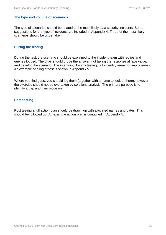#### <span id="page-14-0"></span>**The type and volume of scenarios**

The type of scenarios should be related to the most likely data security incidents. Some suggestions for the type of incidents are included in Appendix 4. Three of the most likely scenarios should be undertaken.

#### <span id="page-14-1"></span>**During the testing**

During the test, the scenario should be explained to the incident team with replies and queries logged. The chair should probe the answer, not taking the response at face value, and develop the scenario. The intention, like any testing, is to identify areas for improvement. An example of a log of test is shown in Appendix 5.

Where you find gaps, you should log them (together with a name to look at them), however the exercise should not be overtaken by solutions analysis. The primary purpose is to identify a gap and then move on.

#### <span id="page-14-2"></span>**Post testing**

Post testing a full action plan should be drawn up with allocated names and dates. This should be followed up. An example action plan is contained in Appendix 5.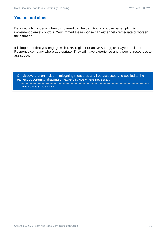#### <span id="page-15-0"></span>**You are not alone**

Data security incidents when discovered can be daunting and it can be tempting to implement blanket controls. Your immediate response can either help remediate or worsen the situation.

It is important that you engage with NHS Digital (for an NHS body) or a Cyber Incident Response company where appropriate. They will have experience and a pool of resources to assist you.

On discovery of an incident, mitigating measures shall be assessed and applied at the earliest opportunity, drawing on expert advice where necessary.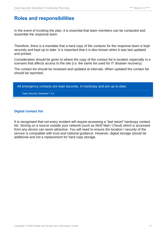### <span id="page-16-0"></span>**Roles and responsibilities**

In the event of invoking the plan, it is essential that team members can be contacted and assemble the response team.

Therefore, there is a mandate that a hard copy of the contacts for the response team is kept securely and kept up to date. It is important that it is also known when it was last updated and printed.

Consideration should be given to where the copy of the contact list is located, especially in a scenario that affects access to the site (i.e. the same list used for IT disaster recovery).

The contact list should be reviewed and updated at intervals. When updated the contact list should be reprinted.

All emergency contacts are kept securely, in hardcopy and are up-to-date.

Data Security Standard 7.3.2

#### <span id="page-16-1"></span>**Digital contact list**

It is recognised that not every incident will require accessing a "last resort" hardcopy contact list. Storing on a source outside your network (such as NHS Mail / Cloud) which is accessed from any device can seem attractive. You will need to ensure the location / security of the service is compatible with trust and national guidance. However, digital storage should be additional and not a replacement for hard copy storage.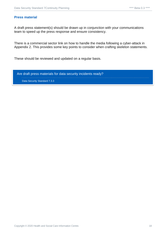#### <span id="page-17-0"></span>**Press material**

A draft press statement(s) should be drawn up in conjunction with your communications team to speed up the press response and ensure consistency.

There is a commercial sector link on how to handle the media following a cyber-attack in Appendix 2. This provides some key points to consider when crafting skeleton statements.

These should be reviewed and updated on a regular basis.

Are draft press materials for data security incidents ready? Data Security Standard 7.3.3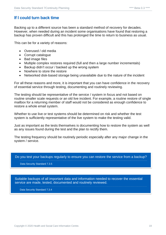#### <span id="page-18-0"></span>**If I could turn back time**

Backing up to a different source has been a standard method of recovery for decades. However, when needed during an incident some organisations have found that restoring a backup has proven difficult and this has prolonged the time to return to business as usual.

This can be for a variety of reasons:

- Overused / old media
- Corrupt catalogue
- Bad image files
- Multiple complex restores required (full and then a large number incrementals)
- Backup didn't occur / backed up the wrong system
- Nowhere to store the restore
- Networked disk-based storage being unavailable due to the nature of the incident

For all these reasons and more, it is important that you can have confidence in the recovery of essential service through testing, documenting and routinely reviewing.

The testing should be representative of the service / system in focus and not based on routine smaller scale requests or an old live incident. For example, a routine restore of single mailbox for a returning member of staff would not be considered as enough confidence to restore a whole email system.

Whether to use live or test systems should be determined on risk and whether the test system is sufficiently representative of the live system to make the testing valid.

Just as important as the tests themselves is documenting how to restore the system as well as any issues found during the test and the plan to rectify them.

The testing frequency should be routinely periodic especially after any major change in the system / service.

Do you test your backups regularly to ensure you can restore the service from a backup?

Data Security Standard 7.3.5

Suitable backups of all important data and information needed to recover the essential service are made, tested, documented and routinely reviewed.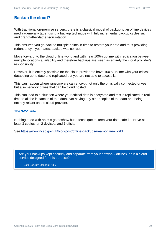#### <span id="page-19-0"></span>**Backup the cloud?**

With traditional on-premise servers, there is a classical model of backup to an offline device / media (generally tape) using a backup technique with full/ incremental backup cycles such and grandfather-father-son rotation.

This ensured you go back to multiple points in time to restore your data and thus providing redundancy if your latest backup was corrupt.

Move forward to the cloud online world and with near 100% uptime with replication between multiple locations availability and therefore backups are seen as entirely the cloud provider's responsibility.

However, it is entirely possible for the cloud provider to have 100% uptime with your critical databeing up to date and replicated but you are not able to access it.

This can happen where ransomware can encrypt not only the physically connected drives but also network drives that can be cloud hosted.

This can lead to a situation where your critical data is encrypted and this is replicated in real time to all the instances of that data. Not having any other copies of the data and being entirely reliant on the cloud provider.

#### <span id="page-19-1"></span>**The 3-2-1 rule**

Nothing to do with an 80s gameshow but a technique to keep your data safe i.e. Have at least 3 copies, on 2 devices, and 1 offsite

See<https://www.ncsc.gov.uk/blog-post/offline-backups-in-an-online-world>

Are your backups kept securely and separate from your network ('offline'), or in a cloud service designed for this purpose?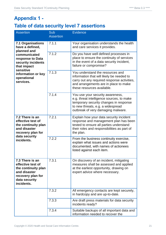## <span id="page-20-0"></span>**Appendix 1 -**

## <span id="page-20-1"></span>**Table of data security level 7 assertions**

| <b>Assertion</b>                                                                                                                     | Sub<br><b>Assertion</b> | <b>Evidence</b>                                                                                                                                                                                     |  |
|--------------------------------------------------------------------------------------------------------------------------------------|-------------------------|-----------------------------------------------------------------------------------------------------------------------------------------------------------------------------------------------------|--|
| <b>7.1 Organisations</b><br>have a defined,<br>planned and                                                                           | 7.1.1                   | Your organisation understands the health<br>and care services it provides.                                                                                                                          |  |
| communicated<br>response to Data<br>security incidents<br>that impact<br>sensitive<br>information or key<br>operational<br>services. | 7.1.2                   | Do you have well defined processes in<br>place to ensure the continuity of services<br>in the event of a data security incident,<br>failure or compromise?                                          |  |
|                                                                                                                                      | 7.1.3                   | You understand the resources and<br>information that will likely be needed to<br>carry out any required response activities,<br>and arrangements are in place to make<br>these resources available. |  |
|                                                                                                                                      | 7.1.4                   | You use your security awareness,<br>e.g. threat intelligence sources, to make<br>temporary security changes in response<br>to new threats, e.g. a widespread<br>outbreak of very damaging malware.  |  |
| 7.2 There is an<br>effective test of<br>the continuity plan<br>and disaster<br>recovery plan for                                     | 7.2.1                   | Explain how your data security incident<br>response and management plan has been<br>tested to ensure all parties understand<br>their roles and responsibilities as part of<br>the plan.             |  |
| data security<br>incidents.                                                                                                          | 7.2.2                   | From the business continuity exercise,<br>explain what issues and actions were<br>documented, with names of actionees<br>listed against each item.                                                  |  |
| 7.3 There is an<br>effective test of<br>the continuity plan<br>and disaster<br>recovery plan for<br>data security<br>incidents.      | 7.3.1                   | On discovery of an incident, mitigating<br>measures shall be assessed and applied<br>at the earliest opportunity, drawing on<br>expert advice where necessary.                                      |  |
|                                                                                                                                      | 7.3.2                   | All emergency contacts are kept securely,<br>in hardcopy and are up-to-date.                                                                                                                        |  |
|                                                                                                                                      | 7.3.3                   | Are draft press materials for data security<br>incidents ready?                                                                                                                                     |  |
|                                                                                                                                      | 7.3.4                   | Suitable backups of all important data and<br>information needed to recover the                                                                                                                     |  |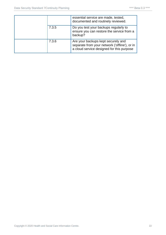|  |       | essential service are made, tested,<br>documented and routinely reviewed.                                                        |
|--|-------|----------------------------------------------------------------------------------------------------------------------------------|
|  | 7.3.5 | Do you test your backups regularly to<br>ensure you can restore the service from a<br>backup?                                    |
|  | 7.3.6 | Are your backups kept securely and<br>separate from your network ('offline'), or in<br>a cloud service designed for this purpose |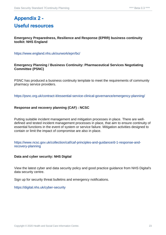## <span id="page-22-1"></span><span id="page-22-0"></span>**Appendix 2 - Useful resources**

**Emergency Preparedness, Resilience and Response (EPRR) business continuity toolkit: NHS England** 

<https://www.england.nhs.uk/ourwork/eprr/bc/>

#### **Emergency Planning / Business Continuity: Pharmaceutical Services Negotiating Committee (PSNC)**

PSNC has produced a business continuity template to meet the requirements of community pharmacy service providers.

<https://psnc.org.uk/contract-it/essential-service-clinical-governance/emergency-planning/>

#### **Response and recovery planning (CAF) : NCSC**

Putting suitable incident management and mitigation processes in place. There are welldefined and tested incident management processes in place, that aim to ensure continuity of essential functions in the event of system or service failure. Mitigation activities designed to contain or limit the impact of compromise are also in place.

[https://www.ncsc.gov.uk/collection/caf/caf-principles-and-guidance/d-1-response-and](https://www.ncsc.gov.uk/collection/caf/caf-principles-and-guidance/d-1-response-and-recovery-planning)[recovery-planning](https://www.ncsc.gov.uk/collection/caf/caf-principles-and-guidance/d-1-response-and-recovery-planning)

#### **Data and cyber security: NHS Digital**

View the latest cyber and data security policy and good practice guidance from NHS Digital's data security centre.

Sign up for security threat bulletins and emergency notifications.

<https://digital.nhs.uk/cyber-security>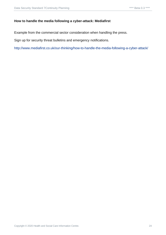#### **How to handle the media following a cyber-attack: Mediafirst**

Example from the commercial sector consideration when handling the press.

Sign up for security threat bulletins and emergency notifications.

<http://www.mediafirst.co.uk/our-thinking/how-to-handle-the-media-following-a-cyber-attack/>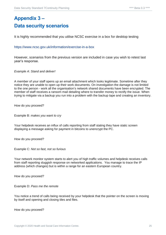## <span id="page-24-1"></span><span id="page-24-0"></span>**Appendix 3 – Data security scenarios**

It is highly recommended that you utilise NCSC exercise in a box for desktop testing

<https://www.ncsc.gov.uk/information/exercise-in-a-box>

However, scenarios from the previous version are included in case you wish to retest last year's response.

*Example A: Stand and deliver!* 

A member of your staff opens up an email attachment which looks legitimate. Sometime after they notice they are unable to open up their work documents. On investigation the damage is not limited to the one person - work all the organisation's network shared documents have been encrypted. The member of staff receives a ransom mail detailing where to transfer money to rectify the issue. When trying to mitigate via a backup you run into a problem with the backup tape and creating an inventory.

How do you proceed?

Example B: *makes you want to cry*

Your helpdesk receives an influx of calls reporting from staff stating they have static screen displaying a message asking for payment in bitcoins to unencrypt the PC.

How do you proceed?

Example C: *Not so fast, not so furious*

Your network monitor system starts to alert you of high traffic volumes and helpdesk receives calls from staff reporting sluggish response on networked applications. You manage to trace the IP address (which changes) but is within a range for an eastern European country.

How do you proceed?

Example D: *Pass me the remote*

You notice a trend of calls being received by your helpdesk that the pointer on the screen is moving by itself and opening and closing tiles and files.

How do you proceed?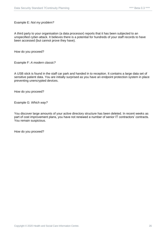Example E: *Not my problem?*

A third party to your organisation (a data processor) reports that it has been subjected to an unspecified cyber-attack. It believes there is a potential for hundreds of your staff records to have been accessed (but cannot prove they have).

How do you proceed?

Example F: *A modern classic?*

A USB stick is found in the staff car park and handed in to reception. It contains a large data set of sensitive patient data. You are initially surprised as you have an endpoint protection system in place preventing unencrypted devices.

How do you proceed?

Example G: *Which way?*

You discover large amounts of your active directory structure has been deleted. In recent weeks as part of cost improvement plans, you have not renewed a number of senior IT contractors' contracts. You remain suspicious.

How do you proceed?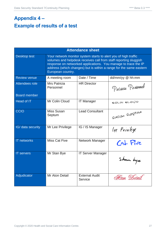## <span id="page-26-1"></span><span id="page-26-0"></span>**Appendix 4 – Example of results of a test**

| <b>Attendance sheet</b> |                                                                                                                                                                                                                                                                                                  |                                  |                    |  |
|-------------------------|--------------------------------------------------------------------------------------------------------------------------------------------------------------------------------------------------------------------------------------------------------------------------------------------------|----------------------------------|--------------------|--|
| <b>Desktop test</b>     | Your network monitor system starts to alert you of high traffic<br>volumes and helpdesk receives call from staff reporting sluggish<br>response on networked applications. You manage to trace the IP<br>address (which changes) but is within a range for the same eastern<br>European country. |                                  |                    |  |
| <b>Review venue</b>     | A meeting room                                                                                                                                                                                                                                                                                   | Date / Time                      | dd/mm/yy @ hh:mm   |  |
| Attendees role          | Mrs Patricia<br>Personnel                                                                                                                                                                                                                                                                        | <b>HR Director</b>               | Patricia Personnel |  |
| <b>Board member</b>     |                                                                                                                                                                                                                                                                                                  |                                  |                    |  |
| Head of IT              | Mr Colin Cloud                                                                                                                                                                                                                                                                                   | <b>IT Manager</b>                | COLIN CLOUD        |  |
| <b>CCIO</b>             | Miss Susan<br>Septum                                                                                                                                                                                                                                                                             | <b>Lead Consultant</b>           | Susan Geptum       |  |
| IG/ data security       | Mr Lee Privilege                                                                                                                                                                                                                                                                                 | IG / IS Manager                  | lee Privilege      |  |
| <b>IT networks</b>      | <b>Miss Cat Five</b>                                                                                                                                                                                                                                                                             | Network Manager                  | $Cat$ $Five$       |  |
| <b>IT servers</b>       | Mr Stan Bye                                                                                                                                                                                                                                                                                      | <b>IT Server Manager</b>         | Stan bye           |  |
| Adjudicator             | Mr Aton Detail                                                                                                                                                                                                                                                                                   | <b>External Audit</b><br>Service | Aton Detail        |  |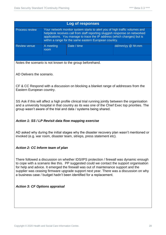| Log of responses      |                                                                                                                                                                                                                                                                                               |             |                            |
|-----------------------|-----------------------------------------------------------------------------------------------------------------------------------------------------------------------------------------------------------------------------------------------------------------------------------------------|-------------|----------------------------|
| <b>Process review</b> | Your network monitor system starts to alert you of high traffic volumes and<br>helpdesk receives call from staff reporting sluggish response on networked<br>applications. You manage to trace the IP address (which changes) but is<br>within a range for the same eastern European country. |             |                            |
| <b>Review venue</b>   | A meeting<br>room                                                                                                                                                                                                                                                                             | Date / time | $dd/mm/yy \n\otimes hh:mm$ |
|                       |                                                                                                                                                                                                                                                                                               |             |                            |

Notes the scenario is not known to the group beforehand.

AD Delivers the scenario.

CF & CC Respond with a discussion on blocking a blanket range of addresses from the Eastern European country.

SS Ask if this will affect a high profile clinical trial running jointly between the organisation and a university hospital in that country as its was one of the Chief Exec top priorities. The group wasn't aware of the trial and data / systems being shared.

#### *Action 1: SS / LP Revisit data flow mapping exercise*

AD asked why during the initial stages why the disaster recovery plan wasn't mentioned or invoked (e.g. war room, disaster team, sitreps, press statement etc).

#### *Action 2: CC Inform team of plan*

There followed a discussion on whether IDS/IPS protection / firewall was dynamic enough to cope with a scenario like this. PP suggested could we contact the support organisation for help and advice. It emerged the firewall was out of maintenance support and the supplier was ceasing firmware upgrade support next year. There was a discussion on why a business case / budget hadn't been identified for a replacement.

#### *Action 3: CF Options appraisal*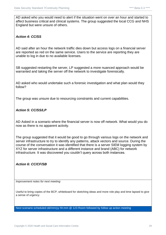AD asked who you would need to alert if the situation went on over an hour and started to affect business critical and clinical systems. The group suggested the local CCG and NHS England but were unsure of others.

#### *Action 4: CC/SS*

AD said after an hour the network traffic dies down but access logs on a financial server are reported as red on the same service. Users to the service are reporting they are unable to log in due to no available licenses.

SB suggested restarting the server, LP suggested a more nuanced approach would be warranted and taking the server off the network to investigate forensically.

AD asked who would undertake such a forensic investigation and what plan would they follow?

The group was unsure due to resourcing constraints and current capabilities.

#### *Action 5: CC/SS/LP*

AD Asked in a scenario where the financial server is now off network. What would you do now as there is no apparent activity.

The group suggested that it would be good to go through various logs on the network and server infrastructure to try to identify any patterns, attack vectors and source. During the course of the conversation it was identified that there is a server SIEM logging system by XYZ for server infrastructure and a different instance and brand (ABC) for network infrastructure. It was discovered you couldn't query across both instances.

#### *Action 6: CC/CF/SB*

*Improvement notes for next meeting*

Useful to bring copies of the BCP, whiteboard for sketching ideas and more role play and time lapsed to give a sense of urgency.

Next scenario scheduled dd/mm/yy hh:mm @ 123 Room followed by follow up action meeting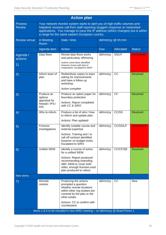| <b>Action plan</b>                                                                                                                                                                                                                                                                                                               |                                        |                                                                                                                                                         |                  |                  |                   |
|----------------------------------------------------------------------------------------------------------------------------------------------------------------------------------------------------------------------------------------------------------------------------------------------------------------------------------|----------------------------------------|---------------------------------------------------------------------------------------------------------------------------------------------------------|------------------|------------------|-------------------|
| Your network monitor system starts to alert you of high traffic volumes and<br><b>Process</b><br>helpdesk receives call from staff reporting sluggish response on networked<br><b>Review</b><br>applications. You manage to trace the IP address (which changes) but is within<br>a range for the same eastern European country. |                                        |                                                                                                                                                         |                  |                  |                   |
| <b>Review venue</b>                                                                                                                                                                                                                                                                                                              | A Meeting<br>Room                      | Date / time                                                                                                                                             | dd/mm/yy @ hh:mm |                  |                   |
|                                                                                                                                                                                                                                                                                                                                  | Agenda item                            | <b>Action</b><br><b>Due</b>                                                                                                                             |                  | <b>Allocated</b> | <b>Status</b>     |
| Agenda /<br>actions                                                                                                                                                                                                                                                                                                              | Data flows                             | Revisit data flows works<br>and particularly offshoring                                                                                                 | dd/mm/yy         | SS/LP            | <b>Unresolved</b> |
| 1)                                                                                                                                                                                                                                                                                                                               |                                        | Actions some flows identified<br>however issues with lack of<br>cooperation, escalated to SIRO                                                          |                  |                  |                   |
| 2)                                                                                                                                                                                                                                                                                                                               | Inform team of<br>plan                 | Redistribute copies to team<br>asking for improvements<br>and have a follow up<br>workshop<br>Action complete                                           | dd/mm/yy         | CC               | <b>Resolved</b>   |
| 3)                                                                                                                                                                                                                                                                                                                               | Produce an<br>options<br>appraisal for | Produce an option paper for<br>boundary protection                                                                                                      | dd/mm/yy         | <b>CF</b>        | <b>Resolved</b>   |
|                                                                                                                                                                                                                                                                                                                                  | firewall / IPS /<br><b>IDS</b>         | Actions: Report completed<br>with CC & SIRO                                                                                                             |                  |                  |                   |
| $\left( 4\right)$                                                                                                                                                                                                                                                                                                                | Who to inform                          | Produce a list of who / how<br>to inform and update plan                                                                                                | dd/mm/yy         | CC/SS            | <b>Resolved</b>   |
|                                                                                                                                                                                                                                                                                                                                  |                                        | Actions: Plan updated                                                                                                                                   |                  |                  |                   |
| 5)                                                                                                                                                                                                                                                                                                                               | Forensic<br>investigations             | Identify suitable course and<br>external expertise                                                                                                      | dd/mm/yy         | CC/SS/LP         | <b>Unresolved</b> |
|                                                                                                                                                                                                                                                                                                                                  |                                        | Actions: Training and / or<br>call off contract identified<br>however no budget exists.<br><b>Escalated to SIRO</b>                                     |                  |                  |                   |
| 6)                                                                                                                                                                                                                                                                                                                               | <b>Unified SIEM</b>                    | Identify a course of action<br>for a unified SIEM.                                                                                                      | dd/mm/yy         | CC/CF/SB         | <b>Resolved</b>   |
|                                                                                                                                                                                                                                                                                                                                  |                                        | Actions: Report produced<br>recommending extending<br>ABC SIEM to cover both<br>sides, enough licenses exist<br>plan produced to rollout                |                  |                  |                   |
| New items                                                                                                                                                                                                                                                                                                                        |                                        |                                                                                                                                                         |                  |                  |                   |
| 7)                                                                                                                                                                                                                                                                                                                               | Remote<br>centres                      | Producing the actions<br>prompted a question<br>whether remote locations<br>within other org estates are<br>covered by the plan or the<br>other estate. | dd/mm/yy         | cc               | <b>New</b>        |
|                                                                                                                                                                                                                                                                                                                                  |                                        | Actions: CC to confirm with<br>counterparts                                                                                                             |                  |                  |                   |
| Items 1 & 5 to be included in next SIRO meeting - on dd/mm/yy @ Board Room 1                                                                                                                                                                                                                                                     |                                        |                                                                                                                                                         |                  |                  |                   |